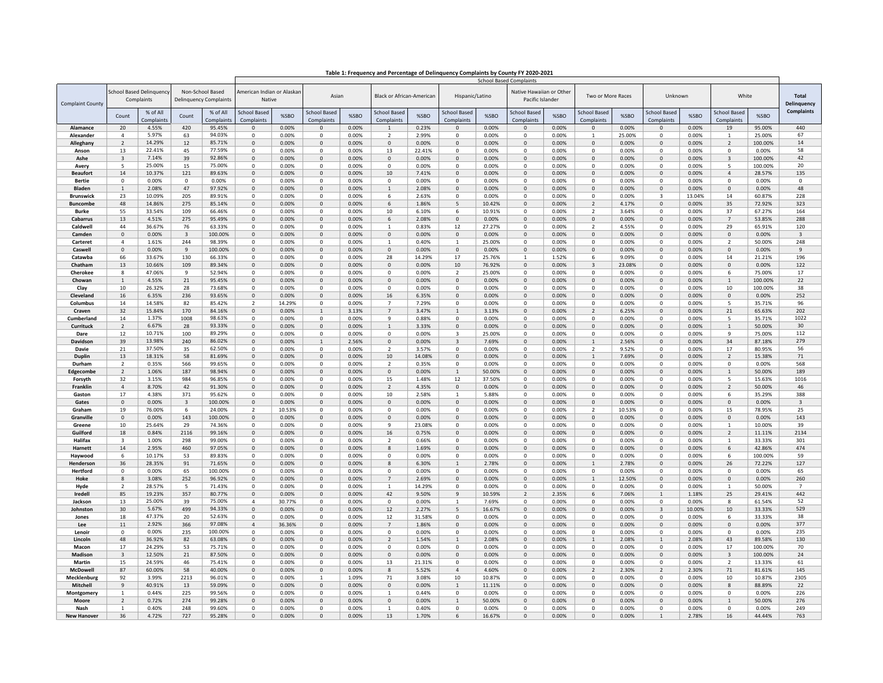| Table 1: Frequency and Percentage of Delinquency Complaints by County FY 2020-2021 |  |
|------------------------------------------------------------------------------------|--|
|                                                                                    |  |

|                                   |                          |                                       |                |                                                   | <b>School Based Complaints</b>       |                |                                   |                |                                   |                 |                                   |                 |                                              |                |                                   |                 |                                   |                 |                                   |                   |                             |
|-----------------------------------|--------------------------|---------------------------------------|----------------|---------------------------------------------------|--------------------------------------|----------------|-----------------------------------|----------------|-----------------------------------|-----------------|-----------------------------------|-----------------|----------------------------------------------|----------------|-----------------------------------|-----------------|-----------------------------------|-----------------|-----------------------------------|-------------------|-----------------------------|
| <b>Complaint County</b>           |                          | School Based Delinquenc<br>Complaints |                | Non-School Based<br><b>Delinquency Complaints</b> | American Indian or Alaskar<br>Native |                | Asian                             |                | Black or African-American         |                 | Hispanic/Latino                   |                 | Native Hawaiian or Other<br>Pacific Islander |                | Two or More Races                 |                 | Unknown                           |                 | White                             |                   | <b>Total</b><br>Delinquency |
|                                   | Count                    | % of All<br>complaints                | Count          | % of All<br>Complaints                            | <b>School Based</b><br>Complaints    | %SBO           | <b>School Based</b><br>Complaints | %SBO           | <b>School Based</b><br>Complaints | %SBO            | <b>School Based</b><br>Complaints | %SBO            | School Based<br>Complaints                   | %SBO           | <b>School Based</b><br>Complaints | %SBO            | <b>School Based</b><br>Complaints | %SBO            | <b>School Based</b><br>Complaints | %SBO              | <b>Complaints</b>           |
| Alamance                          | 20                       | 4.55%                                 | 420            | 95.45%                                            | $\Omega$                             | 0.00%          | $\Omega$                          | 0.00%          | $\mathbf{1}$                      | 0.23%           | $\Omega$                          | 0.00%           | $\Omega$                                     | 0.00%          | $\Omega$                          | 0.00%           | $\Omega$                          | 0.00%           | 19                                | 95.00%            | 440                         |
| Alexander                         | $\overline{a}$           | 5.97%                                 | 63             | 94.03%                                            | $\Omega$                             | 0.00%          | $\mathbf{0}$                      | 0.00%          | $\overline{2}$                    | 2.99%           | $\Omega$                          | 0.00%           | $^{\circ}$                                   | 0.00%          | 1                                 | 25.00%          | $^{\circ}$                        | 0.00%           | 1                                 | 25.00%            | 67                          |
| Alleghany                         | $\overline{2}$           | 14.29%                                | 12             | 85.71%                                            | $\mathbf{0}$                         | 0.00%          | $\mathbf{0}$                      | 0.00%          | $\mathbf{0}$                      | 0.00%           | $\mathbf{0}$                      | 0.00%           | $\mathbf{0}$                                 | 0.00%          | $\mathbf 0$                       | 0.00%           | $\mathbf 0$                       | 0.00%           | 2                                 | 100.00%           | 14                          |
| Anson                             | 13                       | 22.41%                                | 45             | 77.59%                                            | $\mathbf 0$                          | 0.00%          | 0                                 | 0.00%          | 13                                | 22.41%          | 0                                 | 0.00%           | 0                                            | 0.00%          | $^{\circ}$                        | 0.00%           | $^{\circ}$                        | 0.00%           | 0                                 | 0.00%             | 58                          |
| Ashe                              | $\overline{3}$           | 7.14%                                 | 39             | 92.86%                                            | $\Omega$                             | 0.00%          | $\mathbf{0}$                      | 0.00%          | $\Omega$                          | 0.00%           | $\Omega$                          | 0.00%           | $\Omega$                                     | 0.00%          | $\mathsf 0$                       | 0.00%           | $\Omega$                          | 0.00%           | $\overline{3}$                    | 100.00%           | 42                          |
| Avery                             | 5                        | 25.00%                                | 15             | 75.00%                                            | $\Omega$                             | 0.00%          | $\mathbf 0$                       | 0.00%          | $\mathbf 0$                       | 0.00%           | 0                                 | 0.00%           | $^{\circ}$                                   | 0.00%          | 0                                 | 0.00%           | $^{\circ}$                        | 0.00%           | 5                                 | 100.00%           | 20                          |
| <b>Beaufort</b>                   | 14                       | 10.37%                                | 121            | 89.63%                                            | $\Omega$                             | 0.00%          | $\mathsf 0$                       | 0.00%          | 10                                | 7.41%           | $\mathbf 0$                       | 0.00%           | $\mathbf{0}$                                 | 0.00%          | $\Omega$                          | 0.00%           | $\mathbf{0}$                      | 0.00%           | $\overline{4}$                    | 28.57%            | 135                         |
| <b>Bertie</b>                     | 0                        | 0.00%                                 | 0              | 0.00%                                             | 0                                    | 0.00%          | 0                                 | 0.00%          | 0                                 | 0.00%           | 0                                 | 0.00%           | 0                                            | 0.00%          | 0                                 | 0.00%           | 0                                 | 0.00%           | 0                                 | 0.00%             | $\Omega$                    |
| <b>Bladen</b><br><b>Brunswick</b> | $\mathbf{1}$<br>23       | 2.08%<br>10.09%                       | 47<br>205      | 97.92%<br>89.91%                                  | $\mathbf 0$<br>$\Omega$              | 0.00%<br>0.00% | $\mathbf{0}$<br>0                 | 0.00%<br>0.00% | $\mathbf{1}$<br>6                 | 2.08%<br>2.63%  | $\mathbf{0}$<br>0                 | 0.00%<br>0.00%  | $\mathsf 0$<br>$\Omega$                      | 0.00%<br>0.00% | $\mathbf{0}$<br>0                 | 0.00%<br>0.00%  | $\mathbf{0}$<br>$\overline{3}$    | 0.00%<br>13.04% | $\mathbf{0}$<br>14                | 0.00%<br>60.87%   | 48<br>228                   |
| <b>Buncombe</b>                   | 48                       | 14.86%                                | 275            | 85.14%                                            | $\mathbf{0}$                         | 0.00%          | 0                                 | 0.00%          | 6                                 | 1.86%           | 5                                 | 10.42%          | $\mathbf{0}$                                 | 0.00%          | $\overline{2}$                    | 4.17%           | $\mathbf 0$                       | 0.00%           | 35                                | 72.92%            | 323                         |
| <b>Burke</b>                      | 55                       | 33.54%                                | 109            | 66.46%                                            | $\Omega$                             | 0.00%          | 0                                 | 0.00%          | 10                                | 6.10%           | 6                                 | 10.91%          | $\Omega$                                     | 0.00%          | 2                                 | 3.64%           | $\mathbf 0$                       | 0.00%           | 37                                | 67.27%            | 164                         |
| Cabarrus                          | 13                       | 4.51%                                 | 275            | 95.49%                                            | 0                                    | 0.00%          | $\mathsf 0$                       | 0.00%          | 6                                 | 2.08%           | 0                                 | 0.00%           | $\mathbf 0$                                  | 0.00%          | $\mathbf 0$                       | 0.00%           | $\mathbf 0$                       | 0.00%           | $\overline{7}$                    | 53.85%            | 288                         |
| Caldwell                          | 44                       | 36.67%                                | 76             | 63.33%                                            | $\mathbf 0$                          | 0.00%          | 0                                 | 0.00%          | $\mathbf{1}$                      | 0.83%           | 12                                | 27.27%          | 0                                            | 0.00%          | $\overline{2}$                    | 4.55%           | $^{\circ}$                        | 0.00%           | 29                                | 65.91%            | 120                         |
| Camden                            | $\Omega$                 | 0.00%                                 | $\overline{3}$ | 100.00%                                           | $\Omega$                             | 0.00%          | $\Omega$                          | 0.00%          | $\Omega$                          | 0.00%           | $\Omega$                          | 0.00%           | $\Omega$                                     | 0.00%          | $\Omega$                          | 0.00%           | $\Omega$                          | 0.00%           | $\Omega$                          | 0.00%             | $\overline{\mathbf{3}}$     |
| Carteret                          | $\Delta$                 | 1.61%                                 | 244            | 98.39%                                            | $\Omega$                             | 0.00%          | $\Omega$                          | 0.00%          | $\mathbf{1}$                      | 0.40%           | $\mathbf{1}$                      | 25.00%          | $\Omega$                                     | 0.00%          | $\Omega$                          | 0.00%           | $\Omega$                          | 0.00%           | $\overline{\phantom{a}}$          | 50.00%            | 248                         |
| Caswell                           | $\Omega$                 | 0.00%                                 | $\mathbf{Q}$   | 100.00%                                           | $\Omega$                             | 0.00%          | $\mathbf{0}$                      | 0.00%          | $\Omega$                          | 0.00%           | $\Omega$                          | 0.00%           | $\mathbf{0}$                                 | 0.00%          | $\Omega$                          | 0.00%           | $\mathbf{0}$                      | 0.00%           | $\Omega$                          | 0.00%             | 9                           |
| Catawba                           | 66                       | 33.67%                                | 130            | 66.33%                                            | $^{\circ}$                           | 0.00%          | 0                                 | 0.00%          | 28                                | 14.29%          | 17                                | 25.76%          | 1                                            | 1.52%          | 6                                 | 9.09%           | $^{\circ}$                        | 0.00%           | 14                                | 21.21%            | 196                         |
| Chatham                           | 13                       | 10.66%                                | 109            | 89.34%                                            | $\Omega$                             | 0.00%          | $\mathbf 0$                       | 0.00%          | $\mathsf 0$                       | 0.00%           | 10                                | 76.92%          | $\mathsf 0$                                  | 0.00%          | 3                                 | 23.08%          | $\Omega$                          | 0.00%           | $\mathbf{0}$                      | 0.00%             | 122                         |
| Cherokee                          | 8                        | 47.06%                                | 9              | 52.94%                                            | $\mathbf 0$                          | 0.00%          | 0                                 | 0.00%          | $\mathsf 0$                       | 0.00%           | $\overline{2}$                    | 25.00%          | $\mathsf 0$                                  | 0.00%          | $\mathsf 0$                       | 0.00%           | $\mathbf 0$                       | 0.00%           | 6                                 | 75.00%            | 17                          |
| Chowan                            | $\mathbf{1}$             | 4.55%                                 | 21             | 95.45%                                            | $\Omega$                             | 0.00%          | $\Omega$                          | 0.00%          | $\mathsf 0$                       | 0.00%           | $\Omega$                          | 0.00%           | $\Omega$                                     | 0.00%          | $\Omega$                          | 0.00%           | $\Omega$                          | 0.00%           | $\mathbf{1}$                      | 100.00%           | 22                          |
| Clay<br>Cleveland                 | $10\,$<br>16             | 26.32%<br>6.35%                       | 28<br>236      | 73.68%<br>93.65%                                  | $\Omega$<br>$\mathbf{0}$             | 0.00%<br>0.00% | $\Omega$<br>$\mathsf 0$           | 0.00%<br>0.00% | 0<br>16                           | 0.00%<br>6.35%  | $\Omega$<br>$\mathsf 0$           | 0.00%<br>0.00%  | $\Omega$<br>$\pmb{0}$                        | 0.00%<br>0.00% | $\Omega$<br>$\mathbf 0$           | 0.00%<br>0.00%  | $\Omega$<br>$\overline{0}$        | 0.00%<br>0.00%  | 10<br>$\pmb{0}$                   | 100.00%<br>0.00%  | 38<br>252                   |
| Columbus                          | 14                       | 14.58%                                | 82             | 85.42%                                            | $\mathcal{P}$                        | 14.29%         | 0                                 | 0.00%          | $\overline{7}$                    | 7.29%           | $\Omega$                          | 0.00%           | $\Omega$                                     | 0.00%          | 0                                 | 0.00%           | $\Omega$                          | 0.00%           | 5                                 | 35.71%            | 96                          |
| Craven                            | 32                       | 15.84%                                | 170            | 84.16%                                            | $\Omega$                             | 0.00%          | $\mathbf{1}$                      | 3.13%          | $\overline{7}$                    | 3.47%           | $\mathbf{1}$                      | 3.13%           | $\mathsf 0$                                  | 0.00%          | $\overline{2}$                    | 6.25%           | $\Omega$                          | 0.00%           | 21                                | 65.63%            | 202                         |
| Cumberland                        | 14                       | 1.37%                                 | 1008           | 98.63%                                            | $\Omega$                             | 0.00%          | $\Omega$                          | 0.00%          | $\mathbf{q}$                      | 0.88%           | $\Omega$                          | 0.00%           | $\Omega$                                     | 0.00%          | $\Omega$                          | 0.00%           | $\Omega$                          | 0.00%           | 5                                 | 35.71%            | 1022                        |
| Currituck                         | $\overline{\phantom{a}}$ | 6.67%                                 | 28             | 93.33%                                            | $\Omega$                             | 0.00%          | $\mathsf 0$                       | 0.00%          | 1                                 | 3.33%           | $\mathbf{0}$                      | 0.00%           | $\pmb{0}$                                    | 0.00%          | $\mathbf{0}$                      | 0.00%           | $\mathbf{0}$                      | 0.00%           | $\mathbf{1}$                      | 50.00%            | 30                          |
| Dare                              | 12                       | 10.71%                                | 100            | 89.29%                                            | $\mathbf 0$                          | 0.00%          | $\mathbf 0$                       | 0.00%          | $\mathbf 0$                       | 0.00%           | 3                                 | 25.00%          | $\mathbf 0$                                  | 0.00%          | $\mathbf 0$                       | 0.00%           | $^{\circ}$                        | 0.00%           | 9                                 | 75.00%            | 112                         |
| Davidson                          | 39                       | 13.98%                                | 240            | 86.02%                                            | $\Omega$                             | 0.00%          | $\mathbf{1}$                      | 2.56%          | $\pmb{0}$                         | 0.00%           | $\overline{3}$                    | 7.69%           | $\Omega$                                     | 0.00%          | $\mathbf{1}$                      | 2.56%           | $\Omega$                          | 0.00%           | 34                                | 87.18%            | 279                         |
| Davie                             | 21                       | 37.50%                                | 35             | 62.50%                                            | $\mathbf 0$                          | 0.00%          | 0                                 | 0.00%          | $\overline{2}$                    | 3.57%           | 0                                 | 0.00%           | $\mathsf 0$                                  | 0.00%          | $\overline{2}$                    | 9.52%           | $\mathsf 0$                       | 0.00%           | 17                                | 80.95%            | 56                          |
| <b>Duplin</b>                     | 13                       | 18.31%                                | 58             | 81.69%                                            | $\Omega$                             | 0.00%          | $\Omega$                          | 0.00%          | 10                                | 14.08%          | $\Omega$                          | 0.00%           | $\Omega$                                     | 0.00%          | $\mathbf{1}$                      | 7.69%           | $\Omega$                          | 0.00%           | $\mathcal{P}$                     | 15.38%            | 71                          |
| Durham                            | $\overline{2}$           | 0.35%                                 | 566            | 99.65%                                            | $\Omega$                             | 0.00%          | 0                                 | 0.00%          | $\overline{2}$                    | 0.35%           | $\Omega$                          | 0.00%           | $\Omega$                                     | 0.00%          | 0                                 | 0.00%           | $\mathbf 0$                       | 0.00%           | $\Omega$                          | 0.00%             | 568                         |
| Edgecombe                         | $\overline{2}$           | 1.06%                                 | 187            | 98.94%                                            | $\mathbf 0$                          | 0.00%          | $\mathbf{0}$                      | 0.00%          | $\mathbf{0}$                      | 0.00%           | $\mathbf{1}$                      | 50.00%          | $\mathbf{0}$                                 | 0.00%          | $\mathbf{0}$                      | 0.00%           | $\overline{0}$                    | 0.00%           | $\mathbf{1}$                      | 50.00%            | 189                         |
| Forsyth<br>Franklin               | 32<br>$\overline{4}$     | 3.15%<br>8.70%                        | 984<br>42      | 96.85%<br>91.30%                                  | $\mathbf 0$<br>$\Omega$              | 0.00%<br>0.00% | 0<br>$\Omega$                     | 0.00%<br>0.00% | 15<br>$\overline{\phantom{a}}$    | 1.48%<br>4.35%  | 12<br>$\Omega$                    | 37.50%<br>0.00% | 0<br>$\Omega$                                | 0.00%<br>0.00% | 0<br>$\Omega$                     | 0.00%<br>0.00%  | $^{\circ}$<br>$\Omega$            | 0.00%<br>0.00%  | 5<br>$\mathfrak{p}$               | 15.63%<br>50.00%  | 1016<br>46                  |
| Gaston                            | 17                       | 4.38%                                 | 371            | 95.62%                                            | $\Omega$                             | 0.00%          | 0                                 | 0.00%          | 10                                | 2.58%           | $\mathbf{1}$                      | 5.88%           | $^{\circ}$                                   | 0.00%          | $\Omega$                          | 0.00%           | $^{\circ}$                        | 0.00%           | 6                                 | 35.29%            | 388                         |
| Gates                             | $\Omega$                 | 0.00%                                 | 3              | 100.00%                                           | $\Omega$                             | 0.00%          | $\mathsf 0$                       | 0.00%          | $\mathbf{0}$                      | 0.00%           | $\mathbf{0}$                      | 0.00%           | $\pmb{0}$                                    | 0.00%          | $\mathbf 0$                       | 0.00%           | $\overline{0}$                    | 0.00%           | $\mathbf{0}$                      | 0.00%             | $\overline{3}$              |
| Graham                            | 19                       | 76.00%                                | 6              | 24.00%                                            | $\overline{\phantom{a}}$             | 10.53%         | 0                                 | 0.00%          | $\mathbf{0}$                      | 0.00%           | $^{\circ}$                        | 0.00%           | 0                                            | 0.00%          | $\mathcal{P}$                     | 10.53%          | $^{\circ}$                        | 0.00%           | 15                                | 78.95%            | 25                          |
| Granville                         | $\mathbf{0}$             | 0.00%                                 | 143            | 100.00%                                           | $\mathbf 0$                          | 0.00%          | $\mathbf{0}$                      | 0.00%          | $\mathbf{0}$                      | 0.00%           | $\mathbf{0}$                      | 0.00%           | $\mathbf{0}$                                 | 0.00%          | $\mathbf{0}$                      | 0.00%           | $\mathbf{0}$                      | 0.00%           | $\mathbf{0}$                      | 0.00%             | 143                         |
| Greene                            | 10                       | 25.64%                                | 29             | 74.36%                                            | $\Omega$                             | 0.00%          | $\Omega$                          | 0.00%          | -9                                | 23.08%          | $\Omega$                          | 0.00%           | $\Omega$                                     | 0.00%          | $\Omega$                          | 0.00%           | $\Omega$                          | 0.00%           | $\mathbf{1}$                      | 10.00%            | 39                          |
| Guilford                          | 18                       | 0.84%                                 | 2116           | 99.16%                                            | $\mathbf{0}$                         | 0.00%          | $\mathbf{0}$                      | 0.00%          | 16                                | 0.75%           | $\mathbf{0}$                      | 0.00%           | $\mathbf{0}$                                 | 0.00%          | $\mathbf{0}$                      | 0.00%           | $\mathbf{0}$                      | 0.00%           | $\overline{2}$                    | 11.11%            | 2134                        |
| Halifax                           | 3                        | 1.00%                                 | 298            | 99.00%                                            | $\Omega$                             | 0.00%          | 0                                 | 0.00%          | $\overline{2}$                    | 0.66%           | $\Omega$                          | 0.00%           | $^{\circ}$                                   | 0.00%          | $^{\circ}$                        | 0.00%           | $\mathbf 0$                       | 0.00%           | $\mathbf{1}$                      | 33.33%            | 301                         |
| Harnett                           | 14                       | 2.95%                                 | 460            | 97.05%                                            | 0                                    | 0.00%          | $\mathsf 0$                       | 0.00%          | 8                                 | 1.69%           | 0                                 | 0.00%           | $\pmb{0}$                                    | 0.00%          | 0                                 | 0.00%           | $\mathbf 0$                       | 0.00%           | 6                                 | 42.86%            | 474                         |
| Havwood                           | 6                        | 10.17%                                | 53             | 89.83%                                            | $\Omega$                             | 0.00%          | 0                                 | 0.00%          | $\mathsf 0$                       | 0.00%           | $\Omega$                          | 0.00%           | $\mathbf 0$                                  | 0.00%          | $\mathsf 0$                       | 0.00%           | $\Omega$                          | 0.00%           | 6                                 | 100.00%           | 59                          |
| Henderson<br>Hertford             | 36<br>$\Omega$           | 28.35%                                | 91             | 71.65%                                            | $\Omega$<br>$\Omega$                 | 0.00%<br>0.00% | $\mathbf{0}$<br>$\mathbf 0$       | 0.00%          | $\mathbf{g}$<br>$^{\circ}$        | 6.30%           | $\mathbf{1}$<br>$\Omega$          | 2.78%<br>0.00%  | $\Omega$<br>$^{\circ}$                       | 0.00%          | $\mathbf{1}$<br>0                 | 2.78%           | $\Omega$<br>$\mathbf 0$           | 0.00%<br>0.00%  | 26<br>$\Omega$                    | 72.22%            | 127                         |
| Hoke                              | $\mathbf{R}$             | 0.00%<br>3.08%                        | 65<br>252      | 100.00%<br>96.92%                                 | $\Omega$                             | 0.00%          | $\mathbf{0}$                      | 0.00%<br>0.00% | $\overline{7}$                    | 0.00%<br>2.69%  | $\mathbf{0}$                      | 0.00%           | $\mathsf 0$                                  | 0.00%<br>0.00% | $\mathbf{1}$                      | 0.00%<br>12.50% | $\mathbf{0}$                      | 0.00%           | $\mathbf{0}$                      | 0.00%<br>0.00%    | 65<br>260                   |
| Hyde                              | $\overline{2}$           | 28.57%                                | 5              | 71.43%                                            | $\mathbf 0$                          | 0.00%          | 0                                 | 0.00%          |                                   | 14.29%          | $\mathbf 0$                       | 0.00%           | $^{\circ}$                                   | 0.00%          | 0                                 | 0.00%           | $^{\circ}$                        | 0.00%           | $\mathbf{1}$                      | 50.00%            | $\overline{7}$              |
| Iredell                           | 85                       | 19.23%                                | 357            | 80.77%                                            | $\mathbf{0}$                         | 0.00%          | $\mathbf 0$                       | 0.00%          | 42                                | 9.50%           | $\overline{9}$                    | 10.59%          | $\overline{2}$                               | 2.35%          | 6                                 | 7.06%           | 1                                 | 1.18%           | 25                                | 29.41%            | 442                         |
| Jackson                           | 13                       | 25.00%                                | 39             | 75.00%                                            | $\Delta$                             | 30.77%         | $\Omega$                          | 0.00%          | $\Omega$                          | 0.00%           | 1                                 | 7.69%           | $\Omega$                                     | 0.00%          | $\Omega$                          | 0.00%           | $\Omega$                          | 0.00%           | 8                                 | 61.54%            | 52                          |
| Johnston                          | 30                       | 5.67%                                 | 499            | 94.33%                                            | $\mathbf{0}$                         | 0.00%          | $\mathbf{0}$                      | 0.00%          | 12                                | 2.27%           | 5                                 | 16.67%          | $\mathbf{0}$                                 | 0.00%          | $\mathbf{0}$                      | 0.00%           | $\overline{\mathbf{3}}$           | 10.00%          | 10                                | 33.33%            | 529                         |
| Jones                             | 18                       | 47.37%                                | 20             | 52.63%                                            | $^{\circ}$                           | 0.00%          | 0                                 | 0.00%          | 12                                | 31.58%          | $^{\circ}$                        | 0.00%           | $^{\circ}$                                   | 0.00%          | 0                                 | 0.00%           | $^{\circ}$                        | 0.00%           | 6                                 | 33.33%            | 38                          |
| Lee                               | 11                       | 2.92%                                 | 366            | 97.08%                                            | $\overline{4}$                       | 36.36%         | $\mathbf{0}$                      | 0.00%          | $\overline{7}$                    | 1.86%           | $\mathbf{0}$                      | 0.00%           | $\mathbf{0}$                                 | 0.00%          | $\mathbf{0}$                      | 0.00%           | $\mathbf{0}$                      | 0.00%           | $\mathbf{0}$                      | 0.00%             | 377                         |
| Lenoir                            | $\Omega$                 | 0.00%                                 | 235            | 100.00%                                           | $\Omega$                             | 0.00%          | $\Omega$                          | 0.00%          | $\Omega$                          | 0.00%           | $\Omega$                          | 0.00%           | $\Omega$                                     | 0.00%          | $\Omega$                          | 0.00%           | $\Omega$                          | 0.00%           | $\Omega$                          | 0.00%             | 235                         |
| Lincoln                           | 48                       | 36.92%                                | 82             | 63.08%                                            | $\Omega$                             | 0.00%          | $\mathbf{0}$                      | 0.00%          | $\overline{2}$                    | 1.54%           | $\mathbf{1}$                      | 2.08%           | $\mathbf{0}$                                 | 0.00%          | $\mathbf{1}$                      | 2.08%           | $\mathbf{1}$                      | 2.08%           | 43                                | 89.58%            | 130                         |
| Macon                             | 17                       | 24.29%                                | 53             | 75.71%                                            | $\Omega$                             | 0.00%          | 0                                 | 0.00%          | $\Omega$                          | 0.00%           | $\Omega$                          | 0.00%           | 0                                            | 0.00%          | $\Omega$                          | 0.00%           | $\mathbf 0$                       | 0.00%           | 17                                | 100.00%           | 70                          |
| Madison<br>Martin                 | 3<br>15                  | 12.50%<br>24.59%                      | 21<br>46       | 87.50%<br>75.41%                                  | $\mathbf{0}$<br>$\mathbf 0$          | 0.00%<br>0.00% | $\mathsf 0$<br>0                  | 0.00%<br>0.00% | $\mathbf 0$<br>13                 | 0.00%<br>21.31% | 0<br>$\mathbf 0$                  | 0.00%<br>0.00%  | $\mathsf 0$<br>$^{\circ}$                    | 0.00%<br>0.00% | 0<br>0                            | 0.00%<br>0.00%  | $\mathbf 0$<br>$\mathbf 0$        | 0.00%<br>0.00%  | 3<br>$\overline{2}$               | 100.00%<br>13.33% | 24<br>61                    |
| McDowell                          | 87                       | 60.00%                                | 58             | 40.00%                                            | $\Omega$                             | 0.00%          | $\mathbf 0$                       | 0.00%          | $\mathbf{g}$                      | 5.52%           | $\overline{4}$                    | 4.60%           | $\Omega$                                     | 0.00%          | $\mathcal{P}$                     | 2.30%           | $\overline{2}$                    | 2.30%           | 71                                | 81.61%            | 145                         |
| Mecklenburg                       | 92                       | 3.99%                                 | 2213           | 96.01%                                            | $\Omega$                             | 0.00%          | 1                                 | 1.09%          | 71                                | 3.08%           | 10                                | 10.87%          | $^{\circ}$                                   | 0.00%          | $^{\circ}$                        | 0.00%           | $^{\circ}$                        | 0.00%           | 10                                | 10.87%            | 2305                        |
| Mitchell                          | $\mathsf{q}$             | 40.91%                                | 13             | 59.09%                                            | $\Omega$                             | 0.00%          | $\mathbf{0}$                      | 0.00%          | $\mathbf 0$                       | 0.00%           | $\mathbf{1}$                      | 11.11%          | $\mathbf{0}$                                 | 0.00%          | $\mathbf{0}$                      | 0.00%           | $\mathbf{0}$                      | 0.00%           | 8                                 | 88.89%            | 22                          |
| Montgomery                        | 1                        | 0.44%                                 | 225            | 99.56%                                            | $^{\circ}$                           | 0.00%          | 0                                 | 0.00%          | 1                                 | 0.44%           | 0                                 | 0.00%           | 0                                            | 0.00%          | 0                                 | 0.00%           | $\mathbf 0$                       | 0.00%           | 0                                 | 0.00%             | 226                         |
| Moore                             | $\overline{2}$           | 0.72%                                 | 274            | 99.28%                                            | $\mathbf{0}$                         | 0.00%          | $\mathbf{0}$                      | 0.00%          | $\mathsf 0$                       | 0.00%           | $\mathbf{1}$                      | 50.00%          | $\mathbf{0}$                                 | 0.00%          | $\mathbf{0}$                      | 0.00%           | $\mathbf{0}$                      | 0.00%           | $\mathbf{1}$                      | 50.00%            | 276                         |
| Nash                              | $\overline{1}$           | 0.40%                                 | 248            | 99.60%                                            | $\Omega$                             | 0.00%          | $\mathbf 0$                       | 0.00%          | $\overline{1}$                    | 0.40%           | 0                                 | 0.00%           | 0                                            | 0.00%          | 0                                 | 0.00%           | $\Omega$                          | 0.00%           | 0                                 | 0.00%             | 249                         |
| <b>New Hanover</b>                | 36                       | 4.72%                                 | 727            | 95.28%                                            | $\Omega$                             | 0.00%          | $\Omega$                          | 0.00%          | 13                                | 1.70%           | 6                                 | 16.67%          | $\Omega$                                     | 0.00%          | $\Omega$                          | 0.00%           | $\mathbf{1}$                      | 2.78%           | 16                                | 44.44%            | 763                         |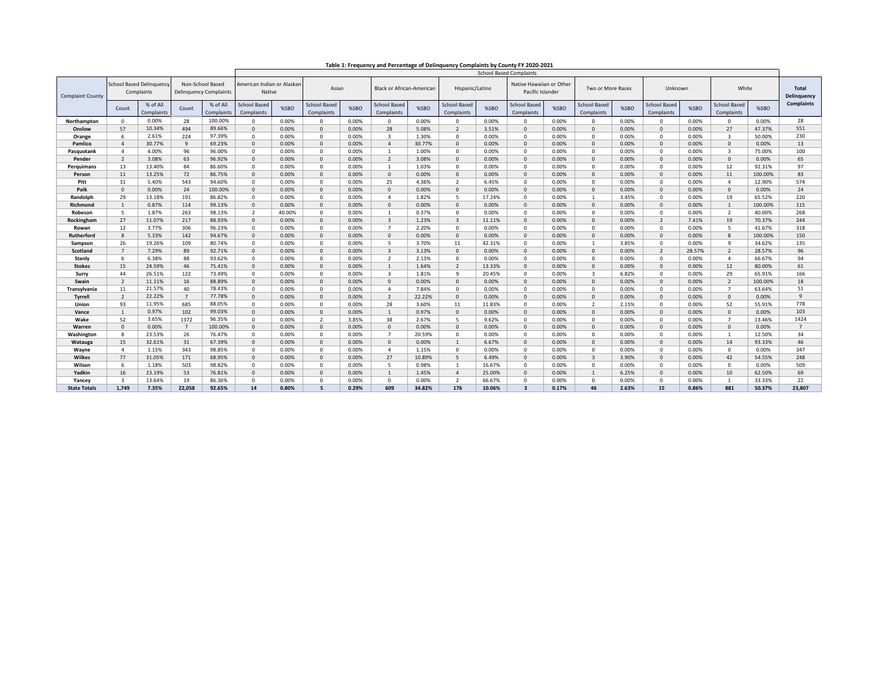| Table 1: Frequency and Percentage of Delinquency Complaints by County FY 2020-2021 |  |  |  |  |  |
|------------------------------------------------------------------------------------|--|--|--|--|--|
|------------------------------------------------------------------------------------|--|--|--|--|--|

|                         |                                       |                        |                                                   |                        | <b>School Based Complaints</b>    |                                      |                                   |       |                                   |        |                            |        |                                              |       |                                   |       |                                   |        |                                   |         |                             |
|-------------------------|---------------------------------------|------------------------|---------------------------------------------------|------------------------|-----------------------------------|--------------------------------------|-----------------------------------|-------|-----------------------------------|--------|----------------------------|--------|----------------------------------------------|-------|-----------------------------------|-------|-----------------------------------|--------|-----------------------------------|---------|-----------------------------|
| <b>Complaint County</b> | School Based Delinguenc<br>Complaints |                        | Non-School Based<br><b>Delinquency Complaints</b> |                        |                                   | American Indian or Alaskar<br>Native |                                   | Asian | <b>Black or African-American</b>  |        | Hispanic/Latino            |        | Native Hawaiian or Other<br>Pacific Islander |       | Two or More Races                 |       | Unknown                           |        | White                             |         | <b>Total</b><br>Delinguency |
|                         | Count                                 | % of All<br>Complaints | Count                                             | % of All<br>Complaints | <b>School Based</b><br>Complaints | %SBO                                 | <b>School Based</b><br>Complaints | %SBO  | <b>School Based</b><br>Complaints | %SBO   | School Based<br>Complaints | %SBO   | <b>School Based</b><br>Complaints            | %SBO  | <b>School Based</b><br>Complaints | %SBO  | <b>School Based</b><br>Complaints | %SBO   | <b>School Based</b><br>Complaints | %SBO    | <b>Complaints</b>           |
| Northampton             | $^{\circ}$                            | 0.00%                  | 28                                                | 100.00%                | $\Omega$                          | 0.00%                                | $\Omega$                          | 0.00% | $\Omega$                          | 0.00%  | $^{\circ}$                 | 0.00%  | $\Omega$                                     | 0.00% | $\mathbf 0$                       | 0.00% | $\Omega$                          | 0.00%  | $\Omega$                          | 0.00%   | 28                          |
| Onslow                  | 57                                    | 10.34%                 | 494                                               | 89.66%                 | $\mathbf{0}$                      | 0.00%                                | $\mathbf{0}$                      | 0.00% | 28                                | 5.08%  | $\overline{2}$             | 3.51%  | $\Omega$                                     | 0.00% | $\mathbf 0$                       | 0.00% | $\Omega$                          | 0.00%  | 27                                | 47.37%  | 551                         |
| Orange                  | 6                                     | 2.61%                  | 224                                               | 97.39%                 | $\mathbf{0}$                      | 0.00%                                | $\Omega$                          | 0.00% | $\overline{\mathbf{3}}$           | 1.30%  | $\mathbf{0}$               | 0.00%  | $\Omega$                                     | 0.00% | $\mathbf 0$                       | 0.00% | $\Omega$                          | 0.00%  | $\overline{\mathbf{3}}$           | 50.00%  | 230                         |
| Pamlico                 | $\overline{4}$                        | 30.77%                 | $\mathbf{q}$                                      | 69.23%                 | $\mathbf{0}$                      | 0.00%                                | $\mathbf{0}$                      | 0.00% | $\overline{a}$                    | 30.77% | $\mathbf{0}$               | 0.00%  | $\mathbf{0}$                                 | 0.00% | $\mathbf{0}$                      | 0.00% | $\Omega$                          | 0.00%  | $\mathbf{0}$                      | 0.00%   | 13                          |
| Pasquotank              | $\overline{4}$                        | 4.00%                  | 96                                                | 96.00%                 | $\mathbf{0}$                      | 0.00%                                | $^{\circ}$                        | 0.00% | 1                                 | 1.00%  | $^{\circ}$                 | 0.00%  | $^{\circ}$                                   | 0.00% | $\mathbf 0$                       | 0.00% | $\Omega$                          | 0.00%  | $\overline{\mathbf{3}}$           | 75.00%  | 100                         |
| Pender                  | $\overline{\phantom{a}}$              | 3.08%                  | 63                                                | 96.92%                 | $\mathbf{0}$                      | 0.00%                                | $\mathbf{0}$                      | 0.00% | 2                                 | 3.08%  | $\mathbf{0}$               | 0.00%  | $\mathbf{0}$                                 | 0.00% | $\Omega$                          | 0.00% | $\mathbf{0}$                      | 0.00%  | $\Omega$                          | 0.00%   | 65                          |
| Perquimans              | 13                                    | 13.40%                 | 84                                                | 86.60%                 | $\mathbf{0}$                      | 0.00%                                | $\mathbf{0}$                      | 0.00% | <sup>1</sup>                      | 1.03%  | $^{\circ}$                 | 0.00%  | $\Omega$                                     | 0.00% | $\mathbf 0$                       | 0.00% | $^{\circ}$                        | 0.00%  | 12                                | 92.31%  | 97                          |
| Person                  | 11                                    | 13.25%                 | 72                                                | 86.75%                 | $\mathbf 0$                       | 0.00%                                | $\mathbf{0}$                      | 0.00% | $\mathbf{0}$                      | 0.00%  | $\mathbf{0}$               | 0.00%  | $\mathbf{0}$                                 | 0.00% | $\mathbf{0}$                      | 0.00% | $\mathbf{0}$                      | 0.00%  | 11                                | 100.00% | 83                          |
| Pitt                    | 31                                    | 5.40%                  | 543                                               | 94.60%                 | $\mathbf 0$                       | 0.00%                                | $\mathbf 0$                       | 0.00% | 25                                | 4.36%  | $\overline{2}$             | 6.45%  | $\mathbf 0$                                  | 0.00% | $\mathbf 0$                       | 0.00% | $^{\circ}$                        | 0.00%  | $\overline{4}$                    | 12.90%  | 574                         |
| Polk                    | $\Omega$                              | 0.00%                  | 24                                                | 100.00%                | $\mathbf{0}$                      | 0.00%                                | $\Omega$                          | 0.00% | $\Omega$                          | 0.00%  | $\mathbf{0}$               | 0.00%  | $\Omega$                                     | 0.00% | $\Omega$                          | 0.00% | $\Omega$                          | 0.00%  | $\Omega$                          | 0.00%   | 24                          |
| Randolph                | 29                                    | 13.18%                 | 191                                               | 86.82%                 | $\mathbf{0}$                      | 0.00%                                | $\Omega$                          | 0.00% | $\overline{a}$                    | 1.82%  | -5                         | 17.24% | $\Omega$                                     | 0.00% | 1                                 | 3.45% | $\Omega$                          | 0.00%  | 19                                | 65.52%  | 220                         |
| Richmond                | $\overline{1}$                        | 0.87%                  | 114                                               | 99.13%                 | $\Omega$                          | 0.00%                                | $\Omega$                          | 0.00% | $\Omega$                          | 0.00%  | $\mathbf{0}$               | 0.00%  | $\Omega$                                     | 0.00% | $\mathbf{0}$                      | 0.00% | $\Omega$                          | 0.00%  | $\overline{1}$                    | 100.00% | 115                         |
| Robeson                 | 5                                     | 1.87%                  | 263                                               | 98.13%                 | 2                                 | 40.00%                               | $\Omega$                          | 0.00% | $\overline{1}$                    | 0.37%  | $^{\circ}$                 | 0.00%  | $\Omega$                                     | 0.00% | $\Omega$                          | 0.00% | $\Omega$                          | 0.00%  | 2                                 | 40.00%  | 268                         |
| Rockingham              | 27                                    | 11.07%                 | 217                                               | 88.93%                 | $\mathbf{0}$                      | 0.00%                                | $\mathbf{0}$                      | 0.00% | $\overline{3}$                    | 1.23%  | $\overline{\mathbf{3}}$    | 11.11% | $\mathbf{0}$                                 | 0.00% | $\mathbf{0}$                      | 0.00% | 2                                 | 7.41%  | 19                                | 70.37%  | 244                         |
| Rowan                   | 12                                    | 3.77%                  | 306                                               | 96.23%                 | $\mathbf 0$                       | 0.00%                                | $\mathbf{0}$                      | 0.00% | $\overline{7}$                    | 2.20%  | $\mathbf{0}$               | 0.00%  | $\Omega$                                     | 0.00% | $\mathbf 0$                       | 0.00% | $\Omega$                          | 0.00%  | 5                                 | 41.67%  | 318                         |
| <b>Rutherford</b>       | 8                                     | 5.33%                  | 142                                               | 94.67%                 | $\mathbf{0}$                      | 0.00%                                | $\Omega$                          | 0.00% | $\mathbf{0}$                      | 0.00%  | $\mathbf{0}$               | 0.00%  | $\Omega$                                     | 0.00% | $\Omega$                          | 0.00% | $\Omega$                          | 0.00%  | 8                                 | 100.00% | 150                         |
| Sampson                 | 26                                    | 19.26%                 | 109                                               | 80.74%                 | $\mathbf{0}$                      | 0.00%                                | $^{\circ}$                        | 0.00% | 5                                 | 3.70%  | 11                         | 42.31% | $\mathbf{0}$                                 | 0.00% | $\overline{1}$                    | 3.85% | $\Omega$                          | 0.00%  | $\mathbf{q}$                      | 34.62%  | 135                         |
| Scotland                | $\overline{7}$                        | 7.29%                  | 89                                                | 92.71%                 | $\mathbf{0}$                      | 0.00%                                | $\mathbf{0}$                      | 0.00% | $\overline{3}$                    | 3.13%  | $\mathbf{0}$               | 0.00%  | $\Omega$                                     | 0.00% | $\mathbf{0}$                      | 0.00% | 2                                 | 28.57% | $\overline{2}$                    | 28.57%  | 96                          |
| Stanly                  | 6                                     | 6.38%                  | 88                                                | 93.62%                 | 0                                 | 0.00%                                | $\mathbf{0}$                      | 0.00% | 2                                 | 2.13%  | $\mathbf 0$                | 0.00%  | $\Omega$                                     | 0.00% | $\mathbf 0$                       | 0.00% | $^{\circ}$                        | 0.00%  | $\overline{4}$                    | 66.67%  | 94                          |
| <b>Stokes</b>           | 15                                    | 24.59%                 | 46                                                | 75.41%                 | $\mathbf{0}$                      | 0.00%                                | $\mathbf{0}$                      | 0.00% | 1                                 | 1.64%  | 2                          | 13.33% | $\Omega$                                     | 0.00% | $\mathbf 0$                       | 0.00% | $\mathbf{0}$                      | 0.00%  | 12                                | 80.00%  | 61                          |
| Surry                   | 44                                    | 26.51%                 | 122                                               | 73.49%                 | $\mathbf{0}$                      | 0.00%                                | $\mathbf{0}$                      | 0.00% | $\overline{\mathbf{3}}$           | 1.81%  | $\mathbf{q}$               | 20.45% | $\Omega$                                     | 0.00% | $\overline{\mathbf{3}}$           | 6.82% | $^{\circ}$                        | 0.00%  | 29                                | 65.91%  | 166                         |
| Swain                   | $\overline{2}$                        | 11.11%                 | 16                                                | 88.89%                 | $\Omega$                          | 0.00%                                | $\Omega$                          | 0.00% | $\mathbf{0}$                      | 0.00%  | $\mathbf{0}$               | 0.00%  | $\Omega$                                     | 0.00% | $\mathbf{0}$                      | 0.00% | $\Omega$                          | 0.00%  | $\overline{2}$                    | 100.00% | 18                          |
| Transylvania            | 11                                    | 21.57%                 | 40                                                | 78.43%                 | $\Omega$                          | 0.00%                                | $\mathbf{0}$                      | 0.00% | 4                                 | 7.84%  | $\mathbf{0}$               | 0.00%  | $^{\circ}$                                   | 0.00% | $\mathbf 0$                       | 0.00% | $\Omega$                          | 0.00%  | $\overline{7}$                    | 63.64%  | 51                          |
| Tyrrell                 | $\overline{2}$                        | 22.22%                 | $\overline{7}$                                    | 77.78%                 | $\mathbf{0}$                      | 0.00%                                | $\Omega$                          | 0.00% | $\overline{2}$                    | 22.22% | $\mathbf{0}$               | 0.00%  | $\Omega$                                     | 0.00% | $\Omega$                          | 0.00% | $\Omega$                          | 0.00%  | $\Omega$                          | 0.00%   | $\mathbf{q}$                |
| Union                   | 93                                    | 11.95%                 | 685                                               | 88.05%                 | $\Omega$                          | 0.00%                                | $\Omega$                          | 0.00% | 28                                | 3.60%  | 11                         | 11.83% | $\Omega$                                     | 0.00% | $\overline{2}$                    | 2.15% | $\Omega$                          | 0.00%  | 52                                | 55.91%  | 778                         |
| Vance                   | $\mathbf{1}$                          | 0.97%                  | 102                                               | 99.03%                 | $\Omega$                          | 0.00%                                | $\Omega$                          | 0.00% | 1                                 | 0.97%  | $\mathbf{0}$               | 0.00%  | $\Omega$                                     | 0.00% | $\mathbf{0}$                      | 0.00% | $\Omega$                          | 0.00%  | $\mathbf{0}$                      | 0.00%   | 103                         |
| Wake                    | 52                                    | 3.65%                  | 1372                                              | 96.35%                 | $\mathbf 0$                       | 0.00%                                | 2                                 | 3.85% | 38                                | 2.67%  | 5                          | 9.62%  | $\mathbf 0$                                  | 0.00% | $\mathbf 0$                       | 0.00% | $\Omega$                          | 0.00%  | $\overline{7}$                    | 13.46%  | 1424                        |
| Warren                  | $\Omega$                              | 0.00%                  | $\overline{7}$                                    | 100.00%                | $\mathbf{0}$                      | 0.00%                                | $\Omega$                          | 0.00% | $\Omega$                          | 0.00%  | $\mathbf{0}$               | 0.00%  | $\Omega$                                     | 0.00% | $\mathbf{0}$                      | 0.00% | $\Omega$                          | 0.00%  | $\Omega$                          | 0.00%   | $\overline{7}$              |
| Washington              | 8                                     | 23.53%                 | 26                                                | 76.47%                 | $\mathbf{0}$                      | 0.00%                                | $\Omega$                          | 0.00% | $\overline{7}$                    | 20.59% | $^{\circ}$                 | 0.00%  | $\Omega$                                     | 0.00% | $\mathbf 0$                       | 0.00% | $\Omega$                          | 0.00%  | $\overline{1}$                    | 12.50%  | 34                          |
| Watauga                 | 15                                    | 32.61%                 | 31                                                | 67.39%                 | $\mathbf{0}$                      | 0.00%                                | $\mathbf{0}$                      | 0.00% | $\mathbf 0$                       | 0.00%  | 1                          | 6.67%  | $\mathbf{0}$                                 | 0.00% | $\mathbf{0}$                      | 0.00% | $\Omega$                          | 0.00%  | 14                                | 93.33%  | 46                          |
| Wayne                   | $\overline{4}$                        | 1.15%                  | 343                                               | 98.85%                 | $\Omega$                          | 0.00%                                | $\Omega$                          | 0.00% | $\overline{4}$                    | 1.15%  | $\mathbf{0}$               | 0.00%  | $\mathbf 0$                                  | 0.00% | $\mathbf 0$                       | 0.00% | $^{\circ}$                        | 0.00%  | $\mathbf 0$                       | 0.00%   | 347                         |
| Wilkes                  | 77                                    | 31.05%                 | 171                                               | 68.95%                 | $\Omega$                          | 0.00%                                | $\mathbf{0}$                      | 0.00% | 27                                | 10.89% | 5                          | 6.49%  | $\mathbf{0}$                                 | 0.00% | $\overline{\mathbf{3}}$           | 3.90% | $\mathbf{0}$                      | 0.00%  | 42                                | 54.55%  | 248                         |
| Wilson                  | 6                                     | 1.18%                  | 503                                               | 98.82%                 | $\mathbf{0}$                      | 0.00%                                | $\mathbf{0}$                      | 0.00% | 5                                 | 0.98%  | 1                          | 16.67% | $\Omega$                                     | 0.00% | $\mathbf 0$                       | 0.00% | $^{\circ}$                        | 0.00%  | $\mathbf 0$                       | 0.00%   | 509                         |
| Yadkin                  | 16                                    | 23.19%                 | 53                                                | 76.81%                 | $\mathbf{0}$                      | 0.00%                                | $\Omega$                          | 0.00% | $\overline{1}$                    | 1.45%  | $\overline{4}$             | 25.00% | $\Omega$                                     | 0.00% | $\overline{1}$                    | 6.25% | $\Omega$                          | 0.00%  | 10                                | 62.50%  | 69                          |
| Yancey                  | $\overline{3}$                        | 13.64%                 | 19                                                | 86.36%                 | $\Omega$                          | 0.00%                                | $\Omega$                          | 0.00% | $^{\circ}$                        | 0.00%  | 2                          | 66.67% | $\Omega$                                     | 0.00% | $\mathbf 0$                       | 0.00% | $\Omega$                          | 0.00%  | $\mathbf{1}$                      | 33.33%  | 22                          |
| <b>State Totals</b>     | 1,749                                 | 7.35%                  | 22,058                                            | 92.65%                 | 14                                | 0.80%                                | 5                                 | 0.29% | 609                               | 34.82% | 176                        | 10.06% | $\overline{\mathbf{3}}$                      | 0.17% | 46                                | 2.63% | 15                                | 0.86%  | 881                               | 50.37%  | 23,807                      |